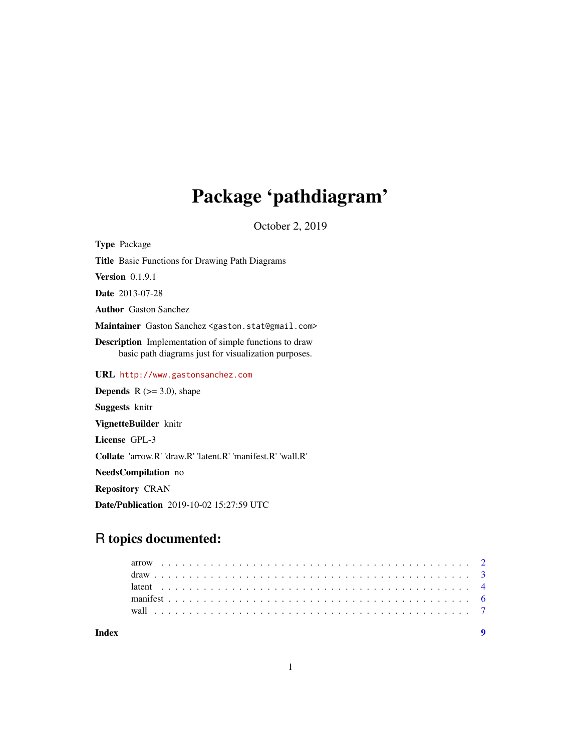## Package 'pathdiagram'

October 2, 2019

<span id="page-0-0"></span>Type Package

Title Basic Functions for Drawing Path Diagrams

**Version** 0.1.9.1

Date 2013-07-28

Author Gaston Sanchez

Maintainer Gaston Sanchez <gaston.stat@gmail.com>

Description Implementation of simple functions to draw basic path diagrams just for visualization purposes.

URL <http://www.gastonsanchez.com>

**Depends** R  $(>= 3.0)$ , shape

Suggests knitr

VignetteBuilder knitr

License GPL-3

Collate 'arrow.R' 'draw.R' 'latent.R' 'manifest.R' 'wall.R'

NeedsCompilation no

Repository CRAN

Date/Publication 2019-10-02 15:27:59 UTC

### R topics documented: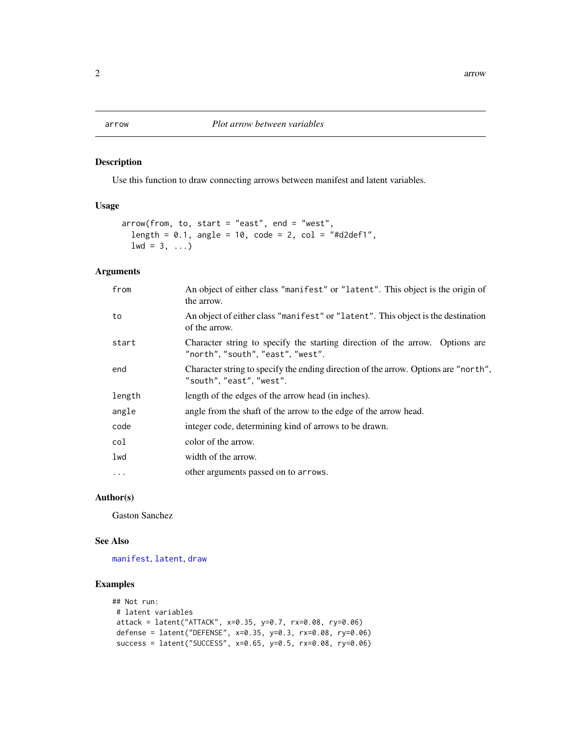#### <span id="page-1-0"></span>Description

Use this function to draw connecting arrows between manifest and latent variables.

#### Usage

```
arrow(from, to, start = "east", end = "west",
 length = 0.1, angle = 10, code = 2, col = "#d2def1",
 1wd = 3, \ldots)
```
#### Arguments

| from     | An object of either class "manifest" or "latent". This object is the origin of<br>the arrow.                    |
|----------|-----------------------------------------------------------------------------------------------------------------|
| to       | An object of either class "manifiest" or "latent". This object is the destination<br>of the arrow.              |
| start    | Character string to specify the starting direction of the arrow. Options are<br>"north","south","east","west".  |
| end      | Character string to specify the ending direction of the arrow. Options are "north",<br>"south", "east", "west". |
| length   | length of the edges of the arrow head (in inches).                                                              |
| angle    | angle from the shaft of the arrow to the edge of the arrow head.                                                |
| code     | integer code, determining kind of arrows to be drawn.                                                           |
| col      | color of the arrow.                                                                                             |
| lwd      | width of the arrow.                                                                                             |
| $\cdots$ | other arguments passed on to arrows.                                                                            |

#### Author(s)

Gaston Sanchez

#### See Also

[manifest](#page-5-1), [latent](#page-3-1), [draw](#page-2-1)

```
## Not run:
# latent variables
attack = latent("ATTACK", x=0.35, y=0.7, rx=0.08, ry=0.06)
defense = latent("DEFENSE", x=0.35, y=0.3, rx=0.08, ry=0.06)
success = latent("SUCCESS", x=0.65, y=0.5, rx=0.08, ry=0.06)
```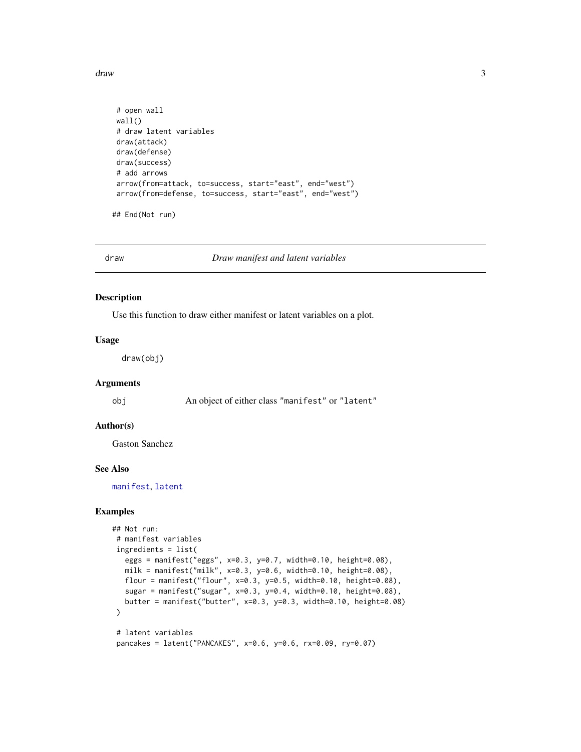<span id="page-2-0"></span>draw 3

```
# open wall
wall()
# draw latent variables
draw(attack)
draw(defense)
draw(success)
# add arrows
arrow(from=attack, to=success, start="east", end="west")
arrow(from=defense, to=success, start="east", end="west")
```
## End(Not run)

<span id="page-2-1"></span>draw *Draw manifest and latent variables*

#### Description

Use this function to draw either manifest or latent variables on a plot.

#### Usage

draw(obj)

#### Arguments

obj An object of either class "manifest" or "latent"

#### Author(s)

Gaston Sanchez

#### See Also

[manifest](#page-5-1), [latent](#page-3-1)

```
## Not run:
# manifest variables
ingredients = list(
  eggs = manifest("eggs", x=0.3, y=0.7, width=0.10, height=0.08),
  milk = manifest("milk", x=0.3, y=0.6, width=0.10, height=0.08),flour = manifest("flour", x=0.3, y=0.5, width=0.10, height=0.08),
  sugar = manifest("sugar", x=0.3, y=0.4, width=0.10, height=0.08),
  butter = manifest("butter", x=0.3, y=0.3, width=0.10, height=0.08)
\lambda# latent variables
```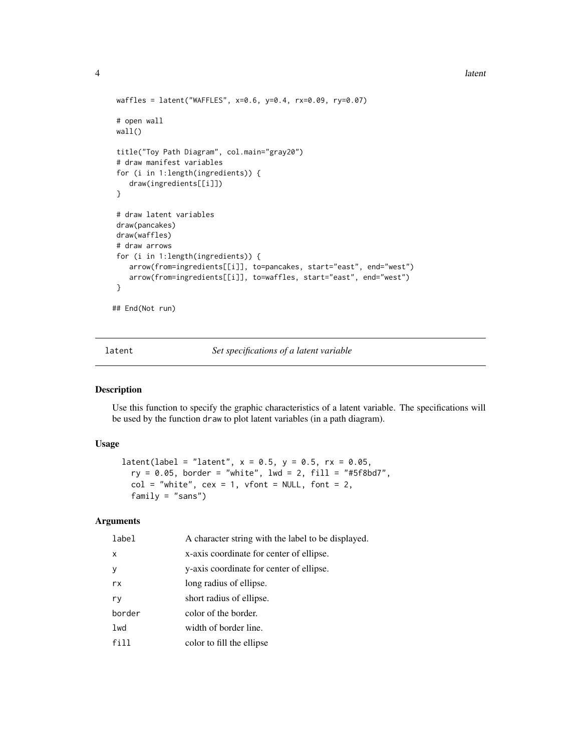```
waffles = latent("WAFFLES", x=0.6, y=0.4, rx=0.09, ry=0.07)
# open wall
wall()
title("Toy Path Diagram", col.main="gray20")
# draw manifest variables
 for (i in 1:length(ingredients)) {
    draw(ingredients[[i]])
}
# draw latent variables
draw(pancakes)
draw(waffles)
# draw arrows
for (i in 1:length(ingredients)) {
    arrow(from=ingredients[[i]], to=pancakes, start="east", end="west")
    arrow(from=ingredients[[i]], to=waffles, start="east", end="west")
}
## End(Not run)
```
<span id="page-3-1"></span>latent *Set specifications of a latent variable*

#### Description

Use this function to specify the graphic characteristics of a latent variable. The specifications will be used by the function draw to plot latent variables (in a path diagram).

#### Usage

 $latent(label = "latent", x = 0.5, y = 0.5, rx = 0.05,$ ry = 0.05, border = "white", lwd = 2, fill = "#5f8bd7",  $col = "white", cex = 1, vfont = NULL, font = 2,$ family = "sans")

#### Arguments

| label  | A character string with the label to be displayed. |
|--------|----------------------------------------------------|
| X      | x-axis coordinate for center of ellipse.           |
| У      | y-axis coordinate for center of ellipse.           |
| rx     | long radius of ellipse.                            |
| ry     | short radius of ellipse.                           |
| border | color of the border.                               |
| lwd    | width of border line.                              |
| fill   | color to fill the ellipse                          |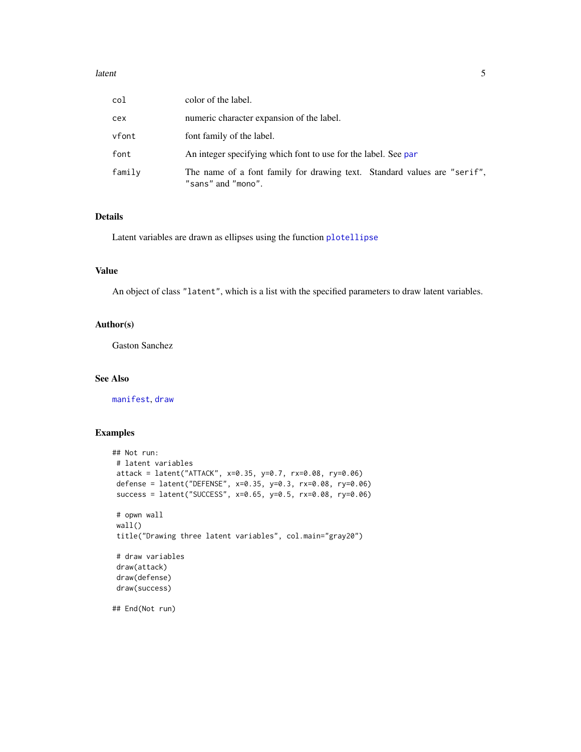#### <span id="page-4-0"></span>latent 5 and 5 and 5 and 5 and 5 and 5 and 5 and 5 and 5 and 5 and 5 and 5 and 5 and 5 and 5 and 5 and 5 and 5

| col    | color of the label.                                                                            |
|--------|------------------------------------------------------------------------------------------------|
| cex    | numeric character expansion of the label.                                                      |
| vfont  | font family of the label.                                                                      |
| font   | An integer specifying which font to use for the label. See par                                 |
| family | The name of a font family for drawing text. Standard values are "serif",<br>"sans" and "mono". |

#### Details

Latent variables are drawn as ellipses using the function [plotellipse](#page-0-0)

#### Value

An object of class "latent", which is a list with the specified parameters to draw latent variables.

#### Author(s)

Gaston Sanchez

#### See Also

[manifest](#page-5-1), [draw](#page-2-1)

```
## Not run:
 # latent variables
 attack = latent("ATTACK", x=0.35, y=0.7, rx=0.08, ry=0.06)
 defense = latent("DEFENSE", x=0.35, y=0.3, rx=0.08, ry=0.06)
 success = latent("SUCCESS", x=0.65, y=0.5, rx=0.08, ry=0.06)
 # opwn wall
 wall()
 title("Drawing three latent variables", col.main="gray20")
 # draw variables
 draw(attack)
 draw(defense)
 draw(success)
## End(Not run)
```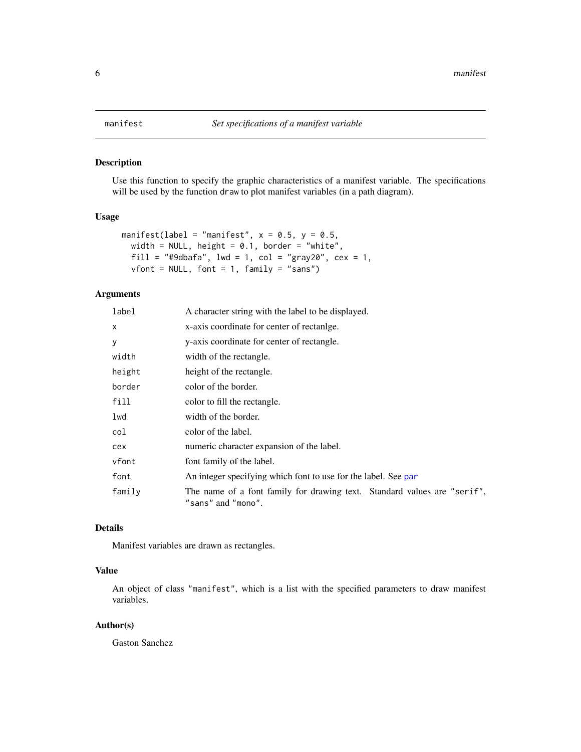#### Description

Use this function to specify the graphic characteristics of a manifest variable. The specifications will be used by the function draw to plot manifest variables (in a path diagram).

#### Usage

```
manifest(label = "manifest", x = 0.5, y = 0.5,
 width = NULL, height = 0.1, border = "white",
 fill = "#9dbafa", lwd = 1, col = "gray20", cex = 1,
 vfont = NULL, font = 1, family = "sans")
```
#### Arguments

| label  | A character string with the label to be displayed.                                             |
|--------|------------------------------------------------------------------------------------------------|
| X.     | x-axis coordinate for center of rectange.                                                      |
| у      | y-axis coordinate for center of rectangle.                                                     |
| width  | width of the rectangle.                                                                        |
| height | height of the rectangle.                                                                       |
| border | color of the border.                                                                           |
| fill   | color to fill the rectangle.                                                                   |
| lwd    | width of the border.                                                                           |
| col    | color of the label.                                                                            |
| cex    | numeric character expansion of the label.                                                      |
| vfont  | font family of the label.                                                                      |
| font   | An integer specifying which font to use for the label. See par                                 |
| family | The name of a font family for drawing text. Standard values are "serif",<br>"sans" and "mono". |

#### Details

Manifest variables are drawn as rectangles.

#### Value

An object of class "manifest", which is a list with the specified parameters to draw manifest variables.

#### Author(s)

Gaston Sanchez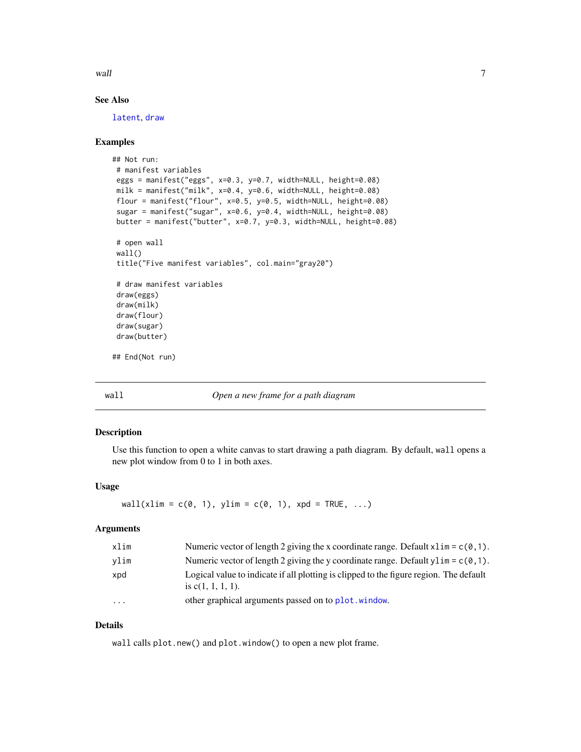<span id="page-6-0"></span>wall the contract of the contract of the contract of the contract of the contract of the contract of the contract of the contract of the contract of the contract of the contract of the contract of the contract of the contr

#### See Also

[latent](#page-3-1), [draw](#page-2-1)

#### Examples

```
## Not run:
# manifest variables
eggs = manifest("eggs", x=0.3, y=0.7, width=NULL, height=0.08)
milk = manifest("milk", x=0.4, y=0.6, width=NULL, height=0.08)
flour = manifest("flour", x=0.5, y=0.5, width=NULL, height=0.08)
sugar = manifest("sugar", x=0.6, y=0.4, width=NULL, height=0.08)
butter = manifest("butter", x=0.7, y=0.3, width=NULL, height=0.08)
# open wall
wall()
title("Five manifest variables", col.main="gray20")
# draw manifest variables
draw(eggs)
draw(milk)
draw(flour)
draw(sugar)
draw(butter)
## End(Not run)
```
#### wall *Open a new frame for a path diagram*

#### Description

Use this function to open a white canvas to start drawing a path diagram. By default, wall opens a new plot window from 0 to 1 in both axes.

#### Usage

```
wall(xlim = c(\emptyset, 1), ylim = c(\emptyset, 1), xpd = TRUE, ...)
```
#### Arguments

| xlim                    | Numeric vector of length 2 giving the x coordinate range. Default $x \lim = c(0, 1)$ .                         |
|-------------------------|----------------------------------------------------------------------------------------------------------------|
| vlim                    | Numeric vector of length 2 giving the y coordinate range. Default y l im = $c(0, 1)$ .                         |
| xpd                     | Logical value to indicate if all plotting is clipped to the figure region. The default<br>is $c(1, 1, 1, 1)$ . |
| $\cdot$ $\cdot$ $\cdot$ | other graphical arguments passed on to plot. window.                                                           |

#### Details

wall calls plot.new() and plot.window() to open a new plot frame.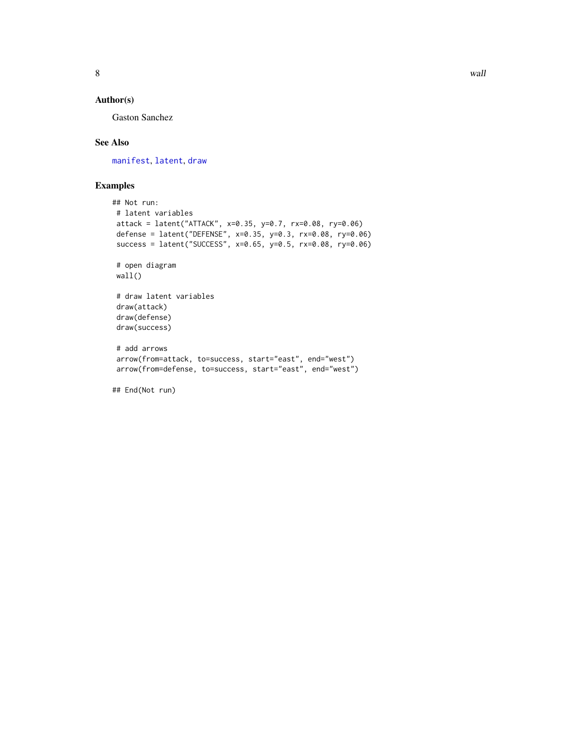#### <span id="page-7-0"></span>Author(s)

Gaston Sanchez

#### See Also

[manifest](#page-5-1), [latent](#page-3-1), [draw](#page-2-1)

```
## Not run:
# latent variables
attack = latent("ATTACK", x=0.35, y=0.7, rx=0.08, ry=0.06)
defense = latent("DEFENSE", x=0.35, y=0.3, rx=0.08, ry=0.06)
success = latent("SUCCESS", x=0.65, y=0.5, rx=0.08, ry=0.06)
# open diagram
wall()
# draw latent variables
draw(attack)
draw(defense)
draw(success)
# add arrows
arrow(from=attack, to=success, start="east", end="west")
arrow(from=defense, to=success, start="east", end="west")
## End(Not run)
```